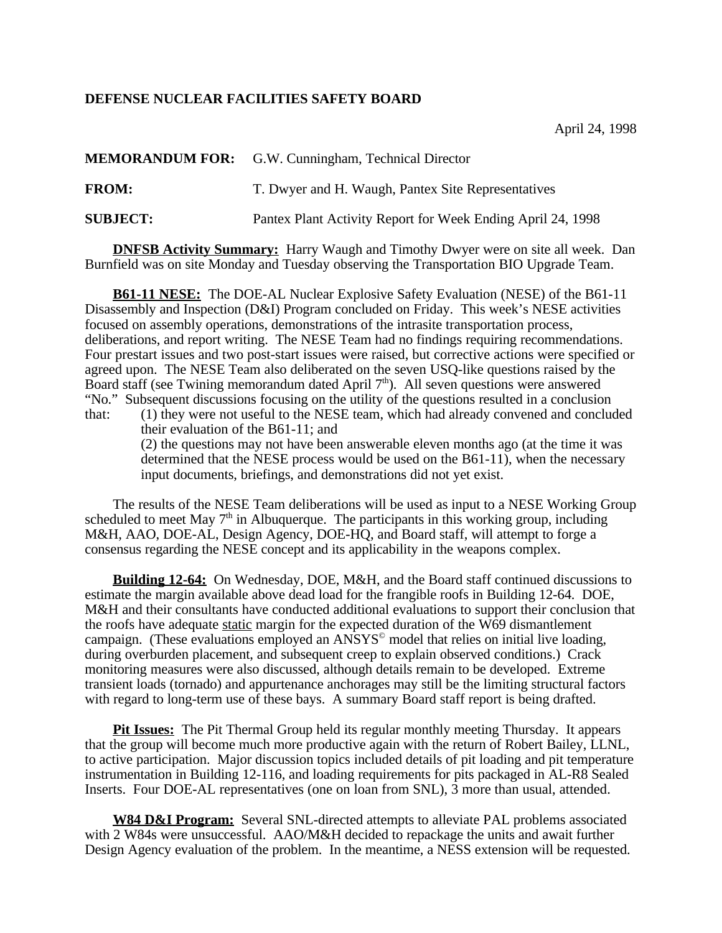## **DEFENSE NUCLEAR FACILITIES SAFETY BOARD**

|                 | <b>MEMORANDUM FOR:</b> G.W. Cunningham, Technical Director  |
|-----------------|-------------------------------------------------------------|
| <b>FROM:</b>    | T. Dwyer and H. Waugh, Pantex Site Representatives          |
| <b>SUBJECT:</b> | Pantex Plant Activity Report for Week Ending April 24, 1998 |

**DNFSB Activity Summary:** Harry Waugh and Timothy Dwyer were on site all week. Dan Burnfield was on site Monday and Tuesday observing the Transportation BIO Upgrade Team.

**B61-11 NESE:** The DOE-AL Nuclear Explosive Safety Evaluation (NESE) of the B61-11 Disassembly and Inspection (D&I) Program concluded on Friday. This week's NESE activities focused on assembly operations, demonstrations of the intrasite transportation process, deliberations, and report writing. The NESE Team had no findings requiring recommendations. Four prestart issues and two post-start issues were raised, but corrective actions were specified or agreed upon. The NESE Team also deliberated on the seven USQ-like questions raised by the Board staff (see Twining memorandum dated April  $7<sup>th</sup>$ ). All seven questions were answered "No." Subsequent discussions focusing on the utility of the questions resulted in a conclusion that: (1) they were not useful to the NESE team, which had already convened and concluded their evaluation of the B61-11; and (2) the questions may not have been answerable eleven months ago (at the time it was determined that the NESE process would be used on the B61-11), when the necessary input documents, briefings, and demonstrations did not yet exist.

The results of the NESE Team deliberations will be used as input to a NESE Working Group scheduled to meet May  $7<sup>th</sup>$  in Albuquerque. The participants in this working group, including M&H, AAO, DOE-AL, Design Agency, DOE-HQ, and Board staff, will attempt to forge a consensus regarding the NESE concept and its applicability in the weapons complex.

**Building 12-64:** On Wednesday, DOE, M&H, and the Board staff continued discussions to estimate the margin available above dead load for the frangible roofs in Building 12-64. DOE, M&H and their consultants have conducted additional evaluations to support their conclusion that the roofs have adequate static margin for the expected duration of the W69 dismantlement campaign. (These evaluations employed an ANSYS<sup>®</sup> model that relies on initial live loading, during overburden placement, and subsequent creep to explain observed conditions.) Crack monitoring measures were also discussed, although details remain to be developed. Extreme transient loads (tornado) and appurtenance anchorages may still be the limiting structural factors with regard to long-term use of these bays. A summary Board staff report is being drafted.

**Pit Issues:** The Pit Thermal Group held its regular monthly meeting Thursday. It appears that the group will become much more productive again with the return of Robert Bailey, LLNL, to active participation. Major discussion topics included details of pit loading and pit temperature instrumentation in Building 12-116, and loading requirements for pits packaged in AL-R8 Sealed Inserts. Four DOE-AL representatives (one on loan from SNL), 3 more than usual, attended.

**W84 D&I Program:** Several SNL-directed attempts to alleviate PAL problems associated with 2 W84s were unsuccessful. AAO/M&H decided to repackage the units and await further Design Agency evaluation of the problem. In the meantime, a NESS extension will be requested.